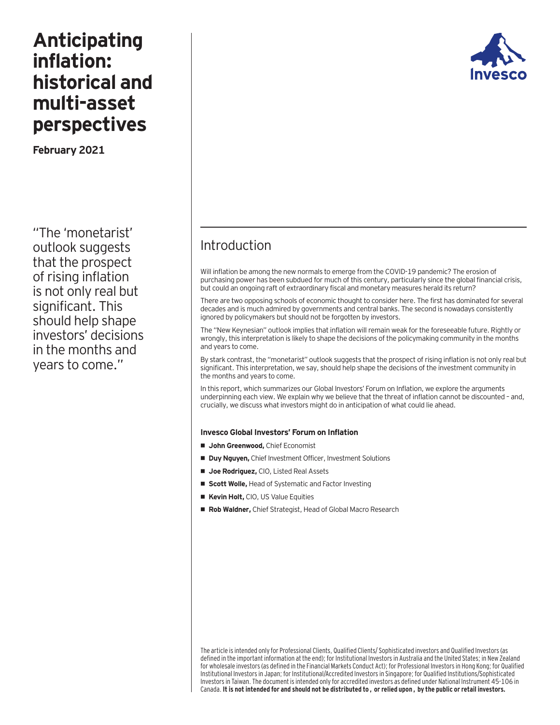# **Anticipating inflation: historical and multi-asset perspectives**

**February 2021** 

"The 'monetarist' outlook suggests that the prospect of rising inflation is not only real but significant. This should help shape investors' decisions in the months and years to come."



# Introduction

Will inflation be among the new normals to emerge from the COVID-19 pandemic? The erosion of purchasing power has been subdued for much of this century, particularly since the global financial crisis, but could an ongoing raft of extraordinary fiscal and monetary measures herald its return?

There are two opposing schools of economic thought to consider here. The first has dominated for several decades and is much admired by governments and central banks. The second is nowadays consistently ignored by policymakers but should not be forgotten by investors.

The "New Keynesian" outlook implies that inflation will remain weak for the foreseeable future. Rightly or wrongly, this interpretation is likely to shape the decisions of the policymaking community in the months and years to come.

By stark contrast, the "monetarist" outlook suggests that the prospect of rising inflation is not only real but significant. This interpretation, we say, should help shape the decisions of the investment community in the months and years to come.

In this report, which summarizes our Global Investors' Forum on Inflation, we explore the arguments underpinning each view. We explain why we believe that the threat of inflation cannot be discounted – and, crucially, we discuss what investors might do in anticipation of what could lie ahead.

#### **Invesco Global Investors' Forum on Inflation**

- **• John Greenwood,** Chief Economist
- **• Duy Nguyen,** Chief Investment Officer, Investment Solutions
- **• Joe Rodriguez,** CIO, Listed Real Assets
- **• Scott Wolle,** Head of Systematic and Factor Investing
- **• Kevin Holt,** CIO, US Value Equities
- **• Rob Waldner,** Chief Strategist, Head of Global Macro Research

The article is intended only for Professional Clients, Qualified Clients/ Sophisticated investors and Qualified Investors (as defined in the important information at the end); for Institutional Investors in Australia and the United States; in New Zealand for wholesale investors (as defined in the Financial Markets Conduct Act); for Professional Investors in Hong Kong; for Qualified Institutional Investors in Japan; for Institutional/Accredited Investors in Singapore; for Qualified Institutions/Sophisticated Investors in Taiwan. The document is intended only for accredited investors as defined under National Instrument 45-106 in Canada. **It is not intended for and should not be distributed to, or relied upon, by the public or retail investors.**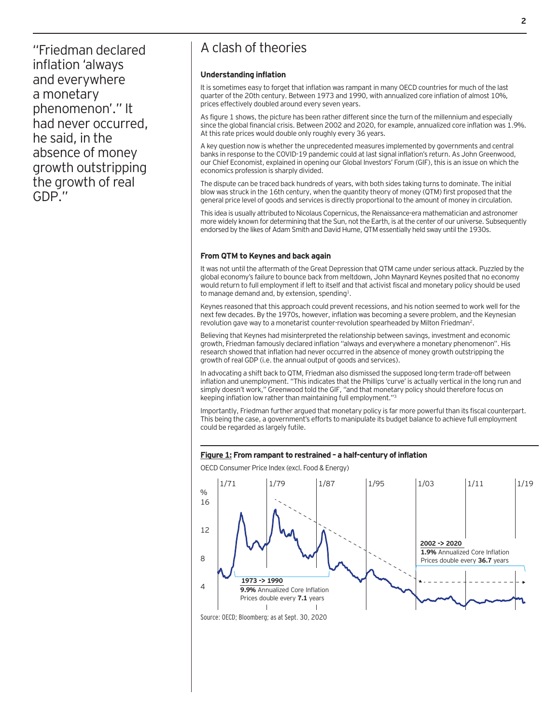"Friedman declared inflation 'always and everywhere a monetary phenomenon'." It had never occurred, he said, in the absence of money growth outstripping the growth of real GDP."

## A clash of theories

#### **Understanding inflation**

It is sometimes easy to forget that inflation was rampant in many OECD countries for much of the last quarter of the 20th century. Between 1973 and 1990, with annualized core inflation of almost 10%, prices effectively doubled around every seven years.

As figure 1 shows, the picture has been rather different since the turn of the millennium and especially since the global financial crisis. Between 2002 and 2020, for example, annualized core inflation was 1.9%. At this rate prices would double only roughly every 36 years.

A key question now is whether the unprecedented measures implemented by governments and central banks in response to the COVID-19 pandemic could at last signal inflation's return. As John Greenwood, our Chief Economist, explained in opening our Global Investors' Forum (GIF), this is an issue on which the economics profession is sharply divided.

The dispute can be traced back hundreds of years, with both sides taking turns to dominate. The initial blow was struck in the 16th century, when the quantity theory of money (QTM) first proposed that the general price level of goods and services is directly proportional to the amount of money in circulation.

This idea is usually attributed to Nicolaus Copernicus, the Renaissance-era mathematician and astronomer more widely known for determining that the Sun, not the Earth, is at the center of our universe. Subsequently endorsed by the likes of Adam Smith and David Hume, QTM essentially held sway until the 1930s.

#### **From QTM to Keynes and back again**

It was not until the aftermath of the Great Depression that QTM came under serious attack. Puzzled by the global economy's failure to bounce back from meltdown, John Maynard Keynes posited that no economy would return to full employment if left to itself and that activist fiscal and monetary policy should be used to manage demand and, by extension, spending<sup>1</sup>.

Keynes reasoned that this approach could prevent recessions, and his notion seemed to work well for the next few decades. By the 1970s, however, inflation was becoming a severe problem, and the Keynesian revolution gave way to a monetarist counter-revolution spearheaded by Milton Friedman<sup>2</sup>.

Believing that Keynes had misinterpreted the relationship between savings, investment and economic growth, Friedman famously declared inflation "always and everywhere a monetary phenomenon". His research showed that inflation had never occurred in the absence of money growth outstripping the growth of real GDP (i.e. the annual output of goods and services).

In advocating a shift back to QTM, Friedman also dismissed the supposed long-term trade-off between inflation and unemployment. "This indicates that the Phillips 'curve' is actually vertical in the long run and simply doesn't work," Greenwood told the GIF, "and that monetary policy should therefore focus on keeping inflation low rather than maintaining full employment."3

Importantly, Friedman further argued that monetary policy is far more powerful than its fiscal counterpart. This being the case, a government's efforts to manipulate its budget balance to achieve full employment could be regarded as largely futile.

#### **Figure 1: From rampant to restrained – a half-century of inflation**

OECD Consumer Price Index (excl. Food & Energy)



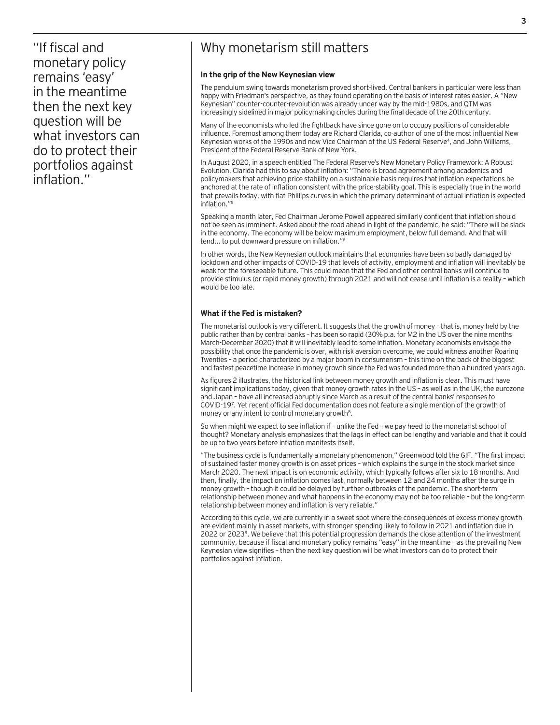"If fiscal and monetary policy remains 'easy' in the meantime then the next key question will be what investors can do to protect their portfolios against inflation."

# Why monetarism still matters

#### **In the grip of the New Keynesian view**

The pendulum swing towards monetarism proved short-lived. Central bankers in particular were less than happy with Friedman's perspective, as they found operating on the basis of interest rates easier. A "New Keynesian" counter-counter-revolution was already under way by the mid-1980s, and QTM was increasingly sidelined in major policymaking circles during the final decade of the 20th century.

Many of the economists who led the fightback have since gone on to occupy positions of considerable influence. Foremost among them today are Richard Clarida, co-author of one of the most influential New Keynesian works of the 1990s and now Vice Chairman of the US Federal Reserve<sup>4</sup>, and John Williams, President of the Federal Reserve Bank of New York.

In August 2020, in a speech entitled The Federal Reserve's New Monetary Policy Framework: A Robust Evolution, Clarida had this to say about inflation: "There is broad agreement among academics and policymakers that achieving price stability on a sustainable basis requires that inflation expectations be anchored at the rate of inflation consistent with the price-stability goal. This is especially true in the world that prevails today, with flat Phillips curves in which the primary determinant of actual inflation is expected inflation."5

Speaking a month later, Fed Chairman Jerome Powell appeared similarly confident that inflation should not be seen as imminent. Asked about the road ahead in light of the pandemic, he said: "There will be slack in the economy. The economy will be below maximum employment, below full demand. And that will tend... to put downward pressure on inflation."6

In other words, the New Keynesian outlook maintains that economies have been so badly damaged by lockdown and other impacts of COVID-19 that levels of activity, employment and inflation will inevitably be weak for the foreseeable future. This could mean that the Fed and other central banks will continue to provide stimulus (or rapid money growth) through 2021 and will not cease until inflation is a reality – which would be too late.

#### **What if the Fed is mistaken?**

The monetarist outlook is very different. It suggests that the growth of money – that is, money held by the public rather than by central banks – has been so rapid (30% p.a. for M2 in the US over the nine months March-December 2020) that it will inevitably lead to some inflation. Monetary economists envisage the possibility that once the pandemic is over, with risk aversion overcome, we could witness another Roaring Twenties – a period characterized by a major boom in consumerism – this time on the back of the biggest and fastest peacetime increase in money growth since the Fed was founded more than a hundred years ago.

As figures 2 illustrates, the historical link between money growth and inflation is clear. This must have significant implications today, given that money growth rates in the US – as well as in the UK, the eurozone and Japan – have all increased abruptly since March as a result of the central banks' responses to COVID-197. Yet recent official Fed documentation does not feature a single mention of the growth of money or any intent to control monetary growth<sup>8</sup>.

So when might we expect to see inflation if – unlike the Fed – we pay heed to the monetarist school of thought? Monetary analysis emphasizes that the lags in effect can be lengthy and variable and that it could be up to two years before inflation manifests itself.

"The business cycle is fundamentally a monetary phenomenon," Greenwood told the GIF. "The first impact of sustained faster money growth is on asset prices – which explains the surge in the stock market since March 2020. The next impact is on economic activity, which typically follows after six to 18 months. And then, finally, the impact on inflation comes last, normally between 12 and 24 months after the surge in money growth – though it could be delayed by further outbreaks of the pandemic. The short-term relationship between money and what happens in the economy may not be too reliable – but the long-term relationship between money and inflation is very reliable."

According to this cycle, we are currently in a sweet spot where the consequences of excess money growth are evident mainly in asset markets, with stronger spending likely to follow in 2021 and inflation due in 2022 or 20239. We believe that this potential progression demands the close attention of the investment community, because if fiscal and monetary policy remains "easy" in the meantime – as the prevailing New Keynesian view signifies – then the next key question will be what investors can do to protect their portfolios against inflation.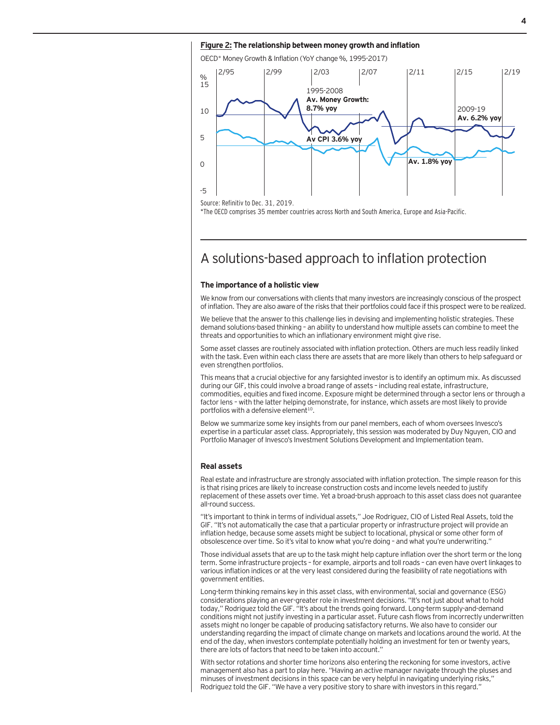#### **Figure 2: The relationship between money growth and inflation**

OECD\* Money Growth & Inflation (YoY change %, 1995-2017)



### A solutions-based approach to inflation protection

#### **The importance of a holistic view**

We know from our conversations with clients that many investors are increasingly conscious of the prospect of inflation. They are also aware of the risks that their portfolios could face if this prospect were to be realized.

We believe that the answer to this challenge lies in devising and implementing holistic strategies. These demand solutions-based thinking – an ability to understand how multiple assets can combine to meet the threats and opportunities to which an inflationary environment might give rise.

Some asset classes are routinely associated with inflation protection. Others are much less readily linked with the task. Even within each class there are assets that are more likely than others to help safeguard or even strengthen portfolios.

This means that a crucial objective for any farsighted investor is to identify an optimum mix. As discussed during our GIF, this could involve a broad range of assets – including real estate, infrastructure, commodities, equities and fixed income. Exposure might be determined through a sector lens or through a factor lens – with the latter helping demonstrate, for instance, which assets are most likely to provide portfolios with a defensive element<sup>10</sup>.

Below we summarize some key insights from our panel members, each of whom oversees Invesco's expertise in a particular asset class. Appropriately, this session was moderated by Duy Nguyen, CIO and Portfolio Manager of Invesco's Investment Solutions Development and Implementation team.

#### **Real assets**

Real estate and infrastructure are strongly associated with inflation protection. The simple reason for this is that rising prices are likely to increase construction costs and income levels needed to justify replacement of these assets over time. Yet a broad-brush approach to this asset class does not guarantee all-round success.

"It's important to think in terms of individual assets," Joe Rodriguez, CIO of Listed Real Assets, told the GIF. "It's not automatically the case that a particular property or infrastructure project will provide an inflation hedge, because some assets might be subject to locational, physical or some other form of obsolescence over time. So it's vital to know what you're doing – and what you're underwriting."

Those individual assets that are up to the task might help capture inflation over the short term or the long term. Some infrastructure projects – for example, airports and toll roads – can even have overt linkages to various inflation indices or at the very least considered during the feasibility of rate negotiations with government entities.

Long-term thinking remains key in this asset class, with environmental, social and governance (ESG) considerations playing an ever-greater role in investment decisions. "It's not just about what to hold today," Rodriguez told the GIF. "It's about the trends going forward. Long-term supply-and-demand conditions might not justify investing in a particular asset. Future cash flows from incorrectly underwritten assets might no longer be capable of producing satisfactory returns. We also have to consider our understanding regarding the impact of climate change on markets and locations around the world. At the end of the day, when investors contemplate potentially holding an investment for ten or twenty years, there are lots of factors that need to be taken into account."

With sector rotations and shorter time horizons also entering the reckoning for some investors, active management also has a part to play here. "Having an active manager navigate through the pluses and minuses of investment decisions in this space can be very helpful in navigating underlying risks," Rodriguez told the GIF. "We have a very positive story to share with investors in this regard."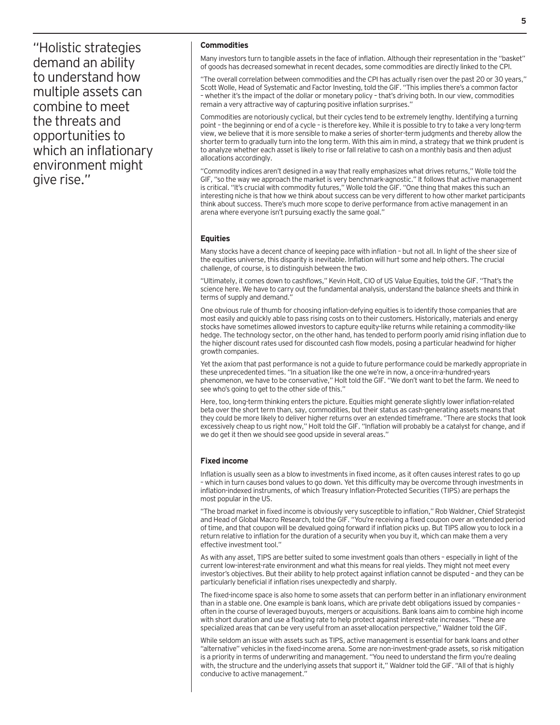"Holistic strategies demand an ability to understand how multiple assets can combine to meet the threats and opportunities to which an inflationary environment might give rise."

#### **Commodities**

Many investors turn to tangible assets in the face of inflation. Although their representation in the "basket" of goods has decreased somewhat in recent decades, some commodities are directly linked to the CPI.

"The overall correlation between commodities and the CPI has actually risen over the past 20 or 30 years," Scott Wolle, Head of Systematic and Factor Investing, told the GIF. "This implies there's a common factor – whether it's the impact of the dollar or monetary policy – that's driving both. In our view, commodities remain a very attractive way of capturing positive inflation surprises."

Commodities are notoriously cyclical, but their cycles tend to be extremely lengthy. Identifying a turning point – the beginning or end of a cycle – is therefore key. While it is possible to try to take a very long-term view, we believe that it is more sensible to make a series of shorter-term judgments and thereby allow the shorter term to gradually turn into the long term. With this aim in mind, a strategy that we think prudent is to analyze whether each asset is likely to rise or fall relative to cash on a monthly basis and then adjust allocations accordingly.

"Commodity indices aren't designed in a way that really emphasizes what drives returns," Wolle told the GIF, "so the way we approach the market is very benchmark-agnostic." It follows that active management is critical. "It's crucial with commodity futures," Wolle told the GIF. "One thing that makes this such an interesting niche is that how we think about success can be very different to how other market participants think about success. There's much more scope to derive performance from active management in an arena where everyone isn't pursuing exactly the same goal."

#### **Equities**

Many stocks have a decent chance of keeping pace with inflation – but not all. In light of the sheer size of the equities universe, this disparity is inevitable. Inflation will hurt some and help others. The crucial challenge, of course, is to distinguish between the two.

"Ultimately, it comes down to cashflows," Kevin Holt, CIO of US Value Equities, told the GIF. "That's the science here. We have to carry out the fundamental analysis, understand the balance sheets and think in terms of supply and demand."

One obvious rule of thumb for choosing inflation-defying equities is to identify those companies that are most easily and quickly able to pass rising costs on to their customers. Historically, materials and energy stocks have sometimes allowed investors to capture equity-like returns while retaining a commodity-like hedge. The technology sector, on the other hand, has tended to perform poorly amid rising inflation due to the higher discount rates used for discounted cash flow models, posing a particular headwind for higher growth companies.

Yet the axiom that past performance is not a guide to future performance could be markedly appropriate in these unprecedented times. "In a situation like the one we're in now, a once-in-a-hundred-years phenomenon, we have to be conservative," Holt told the GIF. "We don't want to bet the farm. We need to see who's going to get to the other side of this."

Here, too, long-term thinking enters the picture. Equities might generate slightly lower inflation-related beta over the short term than, say, commodities, but their status as cash-generating assets means that they could be more likely to deliver higher returns over an extended timeframe. "There are stocks that look excessively cheap to us right now," Holt told the GIF. "Inflation will probably be a catalyst for change, and if we do get it then we should see good upside in several areas."

#### **Fixed income**

Inflation is usually seen as a blow to investments in fixed income, as it often causes interest rates to go up – which in turn causes bond values to go down. Yet this difficulty may be overcome through investments in inflation-indexed instruments, of which Treasury Inflation-Protected Securities (TIPS) are perhaps the most popular in the US.

"The broad market in fixed income is obviously very susceptible to inflation," Rob Waldner, Chief Strategist and Head of Global Macro Research, told the GIF. "You're receiving a fixed coupon over an extended period of time, and that coupon will be devalued going forward if inflation picks up. But TIPS allow you to lock in a return relative to inflation for the duration of a security when you buy it, which can make them a very effective investment tool."

As with any asset, TIPS are better suited to some investment goals than others – especially in light of the current low-interest-rate environment and what this means for real yields. They might not meet every investor's objectives. But their ability to help protect against inflation cannot be disputed – and they can be particularly beneficial if inflation rises unexpectedly and sharply.

The fixed-income space is also home to some assets that can perform better in an inflationary environment than in a stable one. One example is bank loans, which are private debt obligations issued by companies – often in the course of leveraged buyouts, mergers or acquisitions. Bank loans aim to combine high income with short duration and use a floating rate to help protect against interest-rate increases. "These are specialized areas that can be very useful from an asset-allocation perspective," Waldner told the GIF.

While seldom an issue with assets such as TIPS, active management is essential for bank loans and other "alternative" vehicles in the fixed-income arena. Some are non-investment-grade assets, so risk mitigation is a priority in terms of underwriting and management. "You need to understand the firm you're dealing with, the structure and the underlying assets that support it," Waldner told the GIF. "All of that is highly conducive to active management."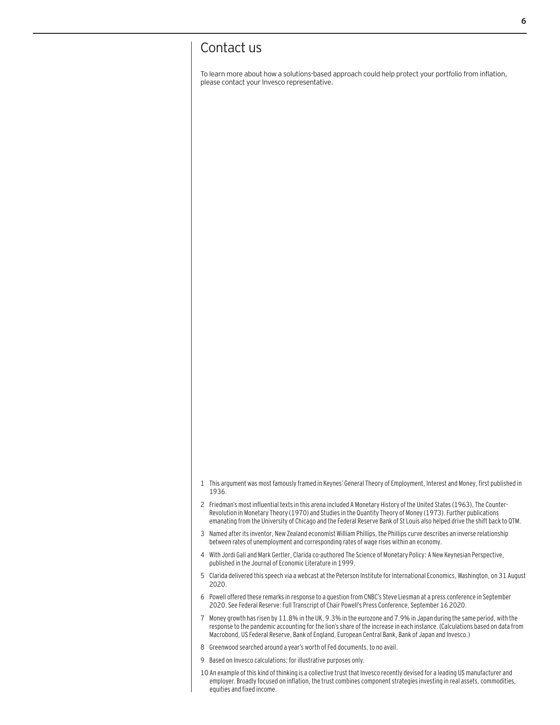### Contact us

To learn more about how a solutions-based approach could help protect your portfolio from inflation, please contact your Invesco representative.

- 1 This argument was most famously framed in Keynes' General Theory of Employment, Interest and Money, first published in 1936.
- 2 Friedman's most influential texts in this arena included A Monetary History of the United States (1963), The Counter-Revolution in Monetary Theory (1970) and Studies in the Quantity Theory of Money (1973). Further publications emanating from the University of Chicago and the Federal Reserve Bank of St Louis also helped drive the shift back to QTM.
- 3 Named after its inventor, New Zealand economist William Phillips, the Phillips curve describes an inverse relationship between rates of unemployment and corresponding rates of wage rises within an economy.
- 4 With Jordi Gali and Mark Gertler, Clarida co-authored The Science of Monetary Policy: A New Keynesian Perspective, published in the Journal of Economic Literature in 1999.
- 5 Clarida delivered this speech via a webcast at the Peterson Institute for International Economics, Washington, on 31 August 2020.
- 6 Powell offered these remarks in response to a question from CNBC's Steve Liesman at a press conference in September 2020. See Federal Reserve: Full Transcript of Chair Powell's Press Conference, September 16 2020.
- 7 Money growth has risen by 11.8% in the UK, 9.3% in the eurozone and 7.9% in Japan during the same period, with the response to the pandemic accounting for the lion's share of the increase in each instance. (Calculations based on data from Macrobond, US Federal Reserve, Bank of England, European Central Bank, Bank of Japan and Invesco.)
- 8 Greenwood searched around a year's worth of Fed documents, to no avail.
- 9 Based on Invesco calculations; for illustrative purposes only.
- 10 An example of this kind of thinking is a collective trust that Invesco recently devised for a leading US manufacturer and employer. Broadly focused on inflation, the trust combines component strategies investing in real assets, commodities, equities and fixed income.